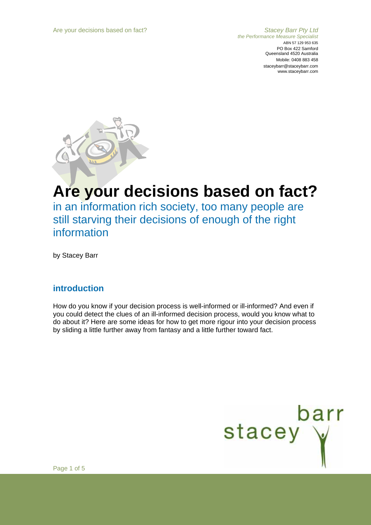*the Performance Measure Specialist*  ABN 57 129 953 635 PO Box 422 Samford Queensland 4520 Australia Mobile: 0408 883 458 staceybarr@staceybarr.com www.staceybarr.com



# **Are your decisions based on fact?**

in an information rich society, too many people are still starving their decisions of enough of the right information

by Stacey Barr

### **introduction**

How do you know if your decision process is well-informed or ill-informed? And even if you could detect the clues of an ill-informed decision process, would you know what to do about it? Here are some ideas for how to get more rigour into your decision process by sliding a little further away from fantasy and a little further toward fact.



Page 1 of 5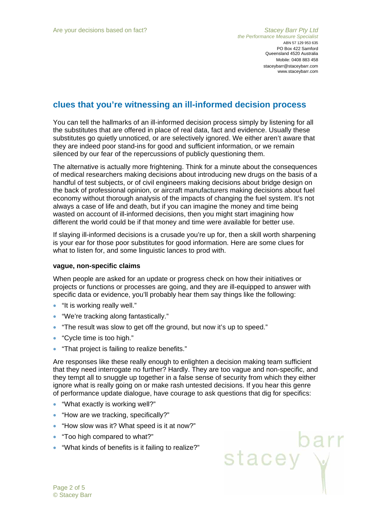stacey y

# **clues that you're witnessing an ill-informed decision process**

You can tell the hallmarks of an ill-informed decision process simply by listening for all the substitutes that are offered in place of real data, fact and evidence. Usually these substitutes go quietly unnoticed, or are selectively ignored. We either aren't aware that they are indeed poor stand-ins for good and sufficient information, or we remain silenced by our fear of the repercussions of publicly questioning them.

The alternative is actually more frightening. Think for a minute about the consequences of medical researchers making decisions about introducing new drugs on the basis of a handful of test subjects, or of civil engineers making decisions about bridge design on the back of professional opinion, or aircraft manufacturers making decisions about fuel economy without thorough analysis of the impacts of changing the fuel system. It's not always a case of life and death, but if you can imagine the money and time being wasted on account of ill-informed decisions, then you might start imagining how different the world could be if that money and time were available for better use.

If slaying ill-informed decisions is a crusade you're up for, then a skill worth sharpening is your ear for those poor substitutes for good information. Here are some clues for what to listen for, and some linguistic lances to prod with.

#### **vague, non-specific claims**

When people are asked for an update or progress check on how their initiatives or projects or functions or processes are going, and they are ill-equipped to answer with specific data or evidence, you'll probably hear them say things like the following:

- "It is working really well."
- "We're tracking along fantastically."
- "The result was slow to get off the ground, but now it's up to speed."
- "Cycle time is too high."
- "That project is failing to realize benefits."

Are responses like these really enough to enlighten a decision making team sufficient that they need interrogate no further? Hardly. They are too vague and non-specific, and they tempt all to snuggle up together in a false sense of security from which they either ignore what is really going on or make rash untested decisions. If you hear this genre of performance update dialogue, have courage to ask questions that dig for specifics:

- "What exactly is working well?"
- "How are we tracking, specifically?"
- "How slow was it? What speed is it at now?"
- "Too high compared to what?"
- "What kinds of benefits is it failing to realize?"

Page 2 of 5 © Stacey Barr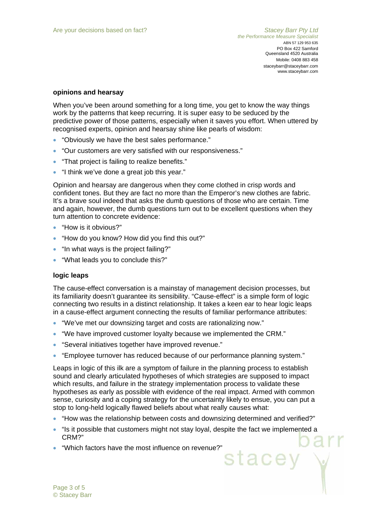#### **opinions and hearsay**

When you've been around something for a long time, you get to know the way things work by the patterns that keep recurring. It is super easy to be seduced by the predictive power of those patterns, especially when it saves you effort. When uttered by recognised experts, opinion and hearsay shine like pearls of wisdom:

- "Obviously we have the best sales performance."
- "Our customers are very satisfied with our responsiveness."
- "That project is failing to realize benefits."
- "I think we've done a great job this year."

Opinion and hearsay are dangerous when they come clothed in crisp words and confident tones. But they are fact no more than the Emperor's new clothes are fabric. It's a brave soul indeed that asks the dumb questions of those who are certain. Time and again, however, the dumb questions turn out to be excellent questions when they turn attention to concrete evidence:

- "How is it obvious?"
- "How do you know? How did you find this out?"
- "In what ways is the project failing?"
- "What leads you to conclude this?"

#### **logic leaps**

The cause-effect conversation is a mainstay of management decision processes, but its familiarity doesn't guarantee its sensibility. "Cause-effect" is a simple form of logic connecting two results in a distinct relationship. It takes a keen ear to hear logic leaps in a cause-effect argument connecting the results of familiar performance attributes:

- "We've met our downsizing target and costs are rationalizing now."
- "We have improved customer loyalty because we implemented the CRM."
- "Several initiatives together have improved revenue."
- "Employee turnover has reduced because of our performance planning system."

Leaps in logic of this ilk are a symptom of failure in the planning process to establish sound and clearly articulated hypotheses of which strategies are supposed to impact which results, and failure in the strategy implementation process to validate these hypotheses as early as possible with evidence of the real impact. Armed with common sense, curiosity and a coping strategy for the uncertainty likely to ensue, you can put a stop to long-held logically flawed beliefs about what really causes what:

- "How was the relationship between costs and downsizing determined and verified?"
- "Is it possible that customers might not stay loyal, despite the fact we implemented a CRM?"
- "Which factors have the most influence on revenue?"<br>Stacey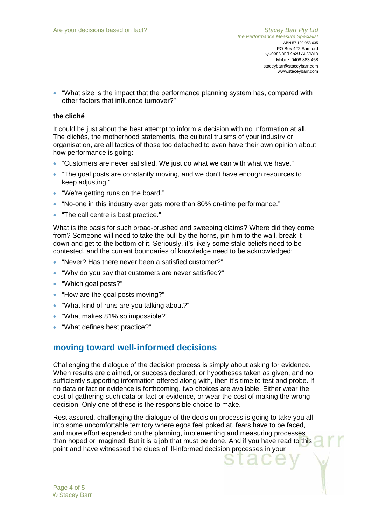• "What size is the impact that the performance planning system has, compared with other factors that influence turnover?"

#### **the cliché**

It could be just about the best attempt to inform a decision with no information at all. The clichés, the motherhood statements, the cultural truisms of your industry or organisation, are all tactics of those too detached to even have their own opinion about how performance is going:

- "Customers are never satisfied. We just do what we can with what we have."
- "The goal posts are constantly moving, and we don't have enough resources to keep adjusting."
- "We're getting runs on the board."
- "No-one in this industry ever gets more than 80% on-time performance."
- "The call centre is best practice."

What is the basis for such broad-brushed and sweeping claims? Where did they come from? Someone will need to take the bull by the horns, pin him to the wall, break it down and get to the bottom of it. Seriously, it's likely some stale beliefs need to be contested, and the current boundaries of knowledge need to be acknowledged:

- "Never? Has there never been a satisfied customer?"
- "Why do you say that customers are never satisfied?"
- "Which goal posts?"
- "How are the goal posts moving?"
- "What kind of runs are you talking about?"
- "What makes 81% so impossible?"
- "What defines best practice?"

# **moving toward well-informed decisions**

Challenging the dialogue of the decision process is simply about asking for evidence. When results are claimed, or success declared, or hypotheses taken as given, and no sufficiently supporting information offered along with, then it's time to test and probe. If no data or fact or evidence is forthcoming, two choices are available. Either wear the cost of gathering such data or fact or evidence, or wear the cost of making the wrong decision. Only one of these is the responsible choice to make.

Rest assured, challenging the dialogue of the decision process is going to take you all into some uncomfortable territory where egos feel poked at, fears have to be faced, and more effort expended on the planning, implementing and measuring processes than hoped or imagined. But it is a job that must be done. And if you have read to this point and have witnessed the clues of ill-informed decision processes in your